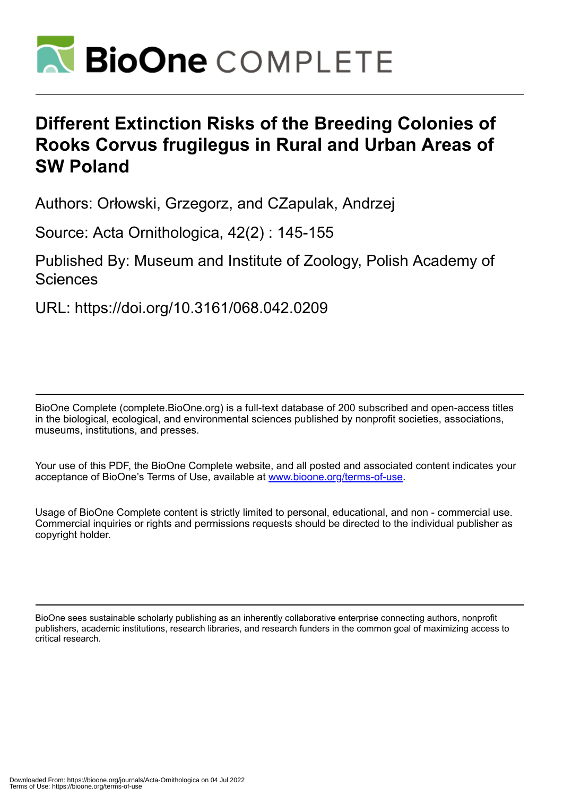

# **Different Extinction Risks of the Breeding Colonies of Rooks Corvus frugilegus in Rural and Urban Areas of SW Poland**

Authors: Orłowski, Grzegorz, and CZapulak, Andrzej

Source: Acta Ornithologica, 42(2) : 145-155

Published By: Museum and Institute of Zoology, Polish Academy of **Sciences** 

URL: https://doi.org/10.3161/068.042.0209

BioOne Complete (complete.BioOne.org) is a full-text database of 200 subscribed and open-access titles in the biological, ecological, and environmental sciences published by nonprofit societies, associations, museums, institutions, and presses.

Your use of this PDF, the BioOne Complete website, and all posted and associated content indicates your acceptance of BioOne's Terms of Use, available at www.bioone.org/terms-of-use.

Usage of BioOne Complete content is strictly limited to personal, educational, and non - commercial use. Commercial inquiries or rights and permissions requests should be directed to the individual publisher as copyright holder.

BioOne sees sustainable scholarly publishing as an inherently collaborative enterprise connecting authors, nonprofit publishers, academic institutions, research libraries, and research funders in the common goal of maximizing access to critical research.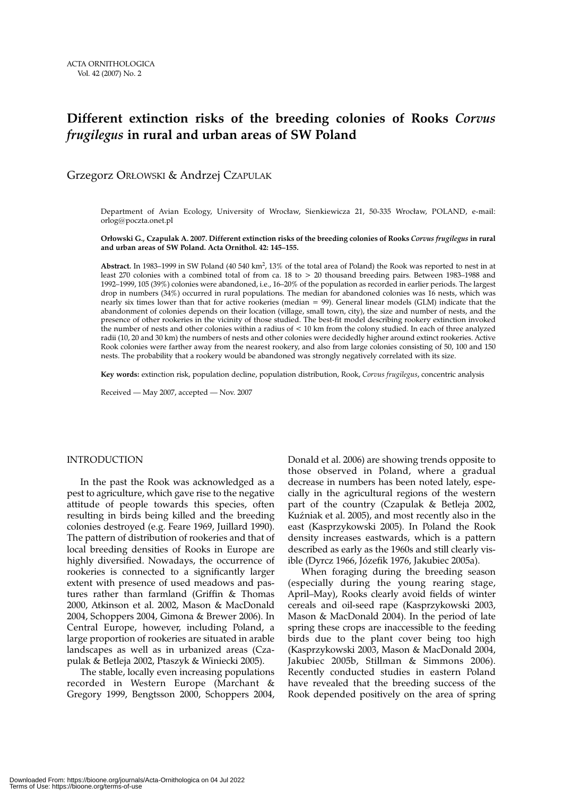# **Different extinction risks of the breeding colonies of Rooks** *Corvus frugilegus* **in rural and urban areas of SW Poland**

Grzegorz ORŁOWSKI & Andrzej CZAPULAK

Department of Avian Ecology, University of Wrocław, Sienkiewicza 21, 50-335 Wrocław, POLAND, e-mail: orlog@poczta.onet.pl

**Orłowski G., Czapulak A. 2007. Different extinction risks of the breeding colonies of Rooks** *Corvus frugilegus* **in rural and urban areas of SW Poland. Acta Ornithol. 42: 145–155.**

**Abstract.** In 1983–1999 in SW Poland (40 540 km2, 13% of the total area of Poland) the Rook was reported to nest in at least 270 colonies with a combined total of from ca. 18 to > 20 thousand breeding pairs. Between 1983–1988 and 1992–1999, 105 (39%) colonies were abandoned, i.e., 16–20% of the population as recorded in earlier periods. The largest drop in numbers (34%) occurred in rural populations. The median for abandoned colonies was 16 nests, which was nearly six times lower than that for active rookeries (median = 99). General linear models (GLM) indicate that the abandonment of colonies depends on their location (village, small town, city), the size and number of nests, and the presence of other rookeries in the vicinity of those studied. The best-fit model describing rookery extinction invoked the number of nests and other colonies within a radius of < 10 km from the colony studied. In each of three analyzed radii (10, 20 and 30 km) the numbers of nests and other colonies were decidedly higher around extinct rookeries. Active Rook colonies were farther away from the nearest rookery, and also from large colonies consisting of 50, 100 and 150 nests. The probability that a rookery would be abandoned was strongly negatively correlated with its size.

**Key words:** extinction risk, population decline, population distribution, Rook, *Corvus frugilegus*, concentric analysis

Received — May 2007, accepted — Nov. 2007

# INTRODUCTION

In the past the Rook was acknowledged as a pest to agriculture, which gave rise to the negative attitude of people towards this species, often resulting in birds being killed and the breeding colonies destroyed (e.g. Feare 1969, Juillard 1990). The pattern of distribution of rookeries and that of local breeding densities of Rooks in Europe are highly diversified. Nowadays, the occurrence of rookeries is connected to a significantly larger extent with presence of used meadows and pastures rather than farmland (Griffin & Thomas 2000, Atkinson et al. 2002, Mason & MacDonald 2004, Schoppers 2004, Gimona & Brewer 2006). In Central Europe, however, including Poland, a large proportion of rookeries are situated in arable landscapes as well as in urbanized areas (Czapulak & Betleja 2002, Ptaszyk & Winiecki 2005).

The stable, locally even increasing populations recorded in Western Europe (Marchant & Gregory 1999, Bengtsson 2000, Schoppers 2004, Donald et al. 2006) are showing trends opposite to those observed in Poland, where a gradual decrease in numbers has been noted lately, especially in the agricultural regions of the western part of the country (Czapulak & Betleja 2002, Kuźniak et al. 2005), and most recently also in the east (Kasprzykowski 2005). In Poland the Rook density increases eastwards, which is a pattern described as early as the 1960s and still clearly visible (Dyrcz 1966, Józefik 1976, Jakubiec 2005a).

When foraging during the breeding season (especially during the young rearing stage, April–May), Rooks clearly avoid fields of winter cereals and oil-seed rape (Kasprzykowski 2003, Mason & MacDonald 2004). In the period of late spring these crops are inaccessible to the feeding birds due to the plant cover being too high (Kasprzykowski 2003, Mason & MacDonald 2004, Jakubiec 2005b, Stillman & Simmons 2006). Recently conducted studies in eastern Poland have revealed that the breeding success of the Rook depended positively on the area of spring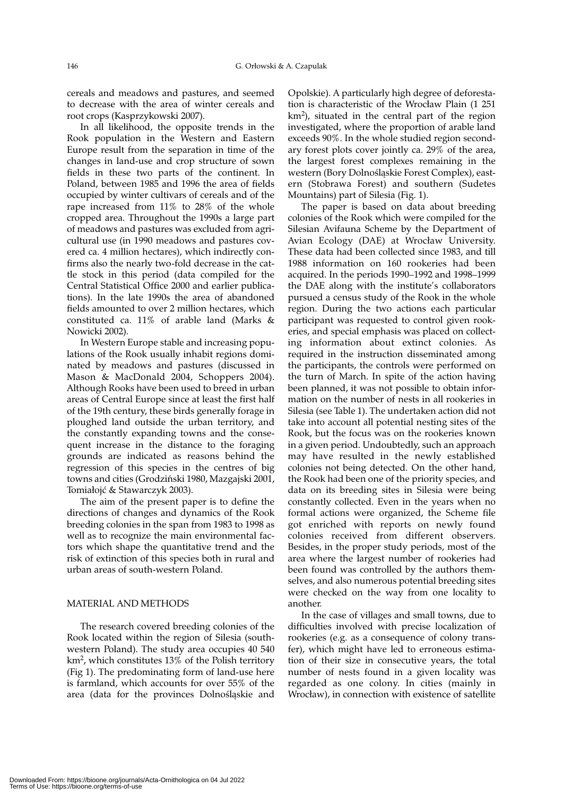cereals and meadows and pastures, and seemed to decrease with the area of winter cereals and root crops (Kasprzykowski 2007).

In all likelihood, the opposite trends in the Rook population in the Western and Eastern Europe result from the separation in time of the changes in land-use and crop structure of sown fields in these two parts of the continent. In Poland, between 1985 and 1996 the area of fields occupied by winter cultivars of cereals and of the rape increased from 11% to 28% of the whole cropped area. Throughout the 1990s a large part of meadows and pastures was excluded from agricultural use (in 1990 meadows and pastures covered ca. 4 million hectares), which indirectly confirms also the nearly two-fold decrease in the cattle stock in this period (data compiled for the Central Statistical Office 2000 and earlier publications). In the late 1990s the area of abandoned fields amounted to over 2 million hectares, which constituted ca. 11% of arable land (Marks & Nowicki 2002).

In Western Europe stable and increasing populations of the Rook usually inhabit regions dominated by meadows and pastures (discussed in Mason & MacDonald 2004, Schoppers 2004). Although Rooks have been used to breed in urban areas of Central Europe since at least the first half of the 19th century, these birds generally forage in ploughed land outside the urban territory, and the constantly expanding towns and the consequent increase in the distance to the foraging grounds are indicated as reasons behind the regression of this species in the centres of big towns and cities (Grodziński 1980, Mazgajski 2001, Tomiałojć & Stawarczyk 2003).

The aim of the present paper is to define the directions of changes and dynamics of the Rook breeding colonies in the span from 1983 to 1998 as well as to recognize the main environmental factors which shape the quantitative trend and the risk of extinction of this species both in rural and urban areas of south-western Poland.

# MATERIAL AND METHODS

The research covered breeding colonies of the Rook located within the region of Silesia (southwestern Poland). The study area occupies 40 540 km2, which constitutes 13% of the Polish territory (Fig 1). The predominating form of land-use here is farmland, which accounts for over 55% of the area (data for the provinces Dolnośląskie and Opolskie). A particularly high degree of deforestation is characteristic of the Wrocław Plain (1 251  $km<sup>2</sup>$ , situated in the central part of the region investigated, where the proportion of arable land exceeds 90%. In the whole studied region secondary forest plots cover jointly ca. 29% of the area, the largest forest complexes remaining in the western (Bory Dolnośląskie Forest Complex), eastern (Stobrawa Forest) and southern (Sudetes Mountains) part of Silesia (Fig. 1).

The paper is based on data about breeding colonies of the Rook which were compiled for the Silesian Avifauna Scheme by the Department of Avian Ecology (DAE) at Wrocław University. These data had been collected since 1983, and till 1988 information on 160 rookeries had been acquired. In the periods 1990–1992 and 1998–1999 the DAE along with the institute's collaborators pursued a census study of the Rook in the whole region. During the two actions each particular participant was requested to control given rookeries, and special emphasis was placed on collecting information about extinct colonies. As required in the instruction disseminated among the participants, the controls were performed on the turn of March. In spite of the action having been planned, it was not possible to obtain information on the number of nests in all rookeries in Silesia (see Table 1). The undertaken action did not take into account all potential nesting sites of the Rook, but the focus was on the rookeries known in a given period. Undoubtedly, such an approach may have resulted in the newly established colonies not being detected. On the other hand, the Rook had been one of the priority species, and data on its breeding sites in Silesia were being constantly collected. Even in the years when no formal actions were organized, the Scheme file got enriched with reports on newly found colonies received from different observers. Besides, in the proper study periods, most of the area where the largest number of rookeries had been found was controlled by the authors themselves, and also numerous potential breeding sites were checked on the way from one locality to another.

In the case of villages and small towns, due to difficulties involved with precise localization of rookeries (e.g. as a consequence of colony transfer), which might have led to erroneous estimation of their size in consecutive years, the total number of nests found in a given locality was regarded as one colony. In cities (mainly in Wrocław), in connection with existence of satellite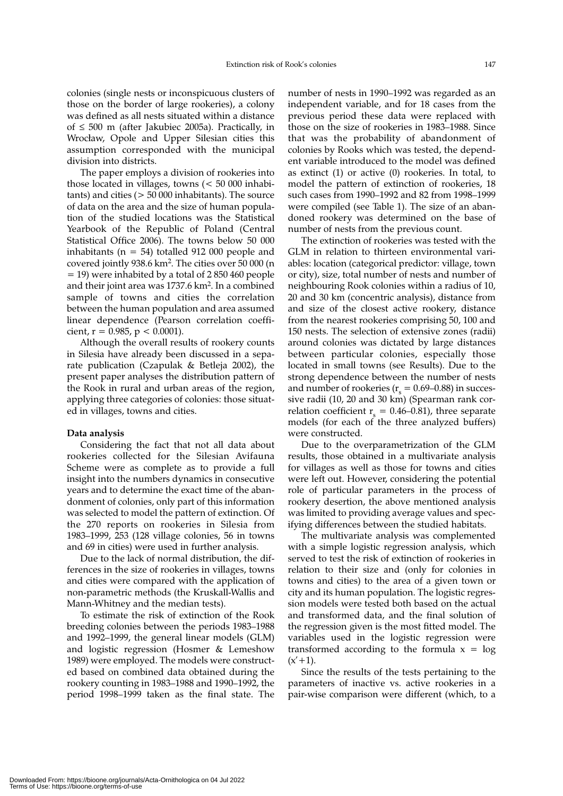colonies (single nests or inconspicuous clusters of those on the border of large rookeries), a colony was defined as all nests situated within a distance of ≤ 500 m (after Jakubiec 2005a). Practically, in Wrocław, Opole and Upper Silesian cities this assumption corresponded with the municipal division into districts.

The paper employs a division of rookeries into those located in villages, towns (< 50 000 inhabitants) and cities (> 50 000 inhabitants). The source of data on the area and the size of human population of the studied locations was the Statistical Yearbook of the Republic of Poland (Central Statistical Office 2006). The towns below 50 000 inhabitants ( $n = 54$ ) totalled 912 000 people and covered jointly 938.6 km2. The cities over 50 000 (n = 19) were inhabited by a total of 2 850 460 people and their joint area was 1737.6 km2. In a combined sample of towns and cities the correlation between the human population and area assumed linear dependence (Pearson correlation coefficient,  $r = 0.985$ ,  $p < 0.0001$ ).

Although the overall results of rookery counts in Silesia have already been discussed in a separate publication (Czapulak & Betleja 2002), the present paper analyses the distribution pattern of the Rook in rural and urban areas of the region, applying three categories of colonies: those situated in villages, towns and cities.

# **Data analysis**

Considering the fact that not all data about rookeries collected for the Silesian Avifauna Scheme were as complete as to provide a full insight into the numbers dynamics in consecutive years and to determine the exact time of the abandonment of colonies, only part of this information was selected to model the pattern of extinction. Of the 270 reports on rookeries in Silesia from 1983–1999, 253 (128 village colonies, 56 in towns and 69 in cities) were used in further analysis.

Due to the lack of normal distribution, the differences in the size of rookeries in villages, towns and cities were compared with the application of non-parametric methods (the Kruskall-Wallis and Mann-Whitney and the median tests).

To estimate the risk of extinction of the Rook breeding colonies between the periods 1983–1988 and 1992–1999, the general linear models (GLM) and logistic regression (Hosmer & Lemeshow 1989) were employed. The models were constructed based on combined data obtained during the rookery counting in 1983–1988 and 1990–1992, the period 1998–1999 taken as the final state. The number of nests in 1990–1992 was regarded as an independent variable, and for 18 cases from the previous period these data were replaced with those on the size of rookeries in 1983–1988. Since that was the probability of abandonment of colonies by Rooks which was tested, the dependent variable introduced to the model was defined as extinct (1) or active (0) rookeries. In total, to model the pattern of extinction of rookeries, 18 such cases from 1990–1992 and 82 from 1998–1999 were compiled (see Table 1). The size of an abandoned rookery was determined on the base of number of nests from the previous count.

The extinction of rookeries was tested with the GLM in relation to thirteen environmental variables: location (categorical predictor: village, town or city), size, total number of nests and number of neighbouring Rook colonies within a radius of 10, 20 and 30 km (concentric analysis), distance from and size of the closest active rookery, distance from the nearest rookeries comprising 50, 100 and 150 nests. The selection of extensive zones (radii) around colonies was dictated by large distances between particular colonies, especially those located in small towns (see Results). Due to the strong dependence between the number of nests and number of rookeries ( $r_s = 0.69{\text -}0.88$ ) in successive radii (10, 20 and 30 km) (Spearman rank correlation coefficient  $r = 0.46{\text -}0.81$ ), three separate models (for each of the three analyzed buffers) were constructed.

Due to the overparametrization of the GLM results, those obtained in a multivariate analysis for villages as well as those for towns and cities were left out. However, considering the potential role of particular parameters in the process of rookery desertion, the above mentioned analysis was limited to providing average values and specifying differences between the studied habitats.

The multivariate analysis was complemented with a simple logistic regression analysis, which served to test the risk of extinction of rookeries in relation to their size and (only for colonies in towns and cities) to the area of a given town or city and its human population. The logistic regression models were tested both based on the actual and transformed data, and the final solution of the regression given is the most fitted model. The variables used in the logistic regression were transformed according to the formula  $x = log$  $(x'+1)$ .

Since the results of the tests pertaining to the parameters of inactive vs. active rookeries in a pair-wise comparison were different (which, to a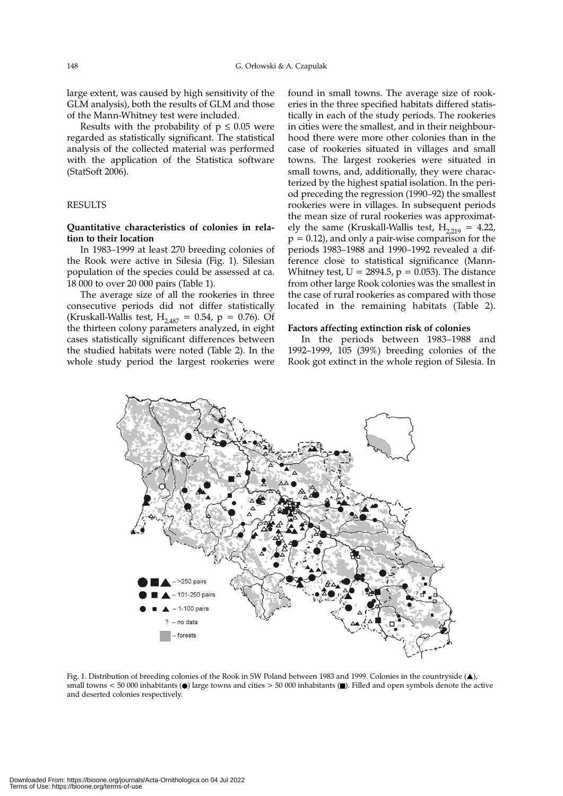large extent, was caused by high sensitivity of the GLM analysis), both the results of GLM and those of the Mann-Whitney test were included.

Results with the probability of  $p \leq 0.05$  were regarded as statistically significant. The statistical analysis of the collected material was performed with the application of the Statistica software (StatSoft 2006).

# RESULTS

### **Quantitative characteristics of colonies in relation to their location**

In 1983–1999 at least 270 breeding colonies of the Rook were active in Silesia (Fig. 1). Silesian population of the species could be assessed at ca. 18 000 to over 20 000 pairs (Table 1).

The average size of all the rookeries in three consecutive periods did not differ statistically (Kruskall-Wallis test,  $H_{2.487} = 0.54$ ,  $p = 0.76$ ). Of the thirteen colony parameters analyzed, in eight cases statistically significant differences between the studied habitats were noted (Table 2). In the whole study period the largest rookeries were found in small towns. The average size of rookeries in the three specified habitats differed statistically in each of the study periods. The rookeries in cities were the smallest, and in their neighbourhood there were more other colonies than in the case of rookeries situated in villages and small towns. The largest rookeries were situated in small towns, and, additionally, they were characterized by the highest spatial isolation. In the period preceding the regression (1990–92) the smallest rookeries were in villages. In subsequent periods the mean size of rural rookeries was approximately the same (Kruskall-Wallis test,  $H_{2,219} = 4.22$ ,  $p = 0.12$ ), and only a pair-wise comparison for the periods 1983–1988 and 1990–1992 revealed a difference close to statistical significance (Mann-Whitney test,  $U = 2894.5$ ,  $p = 0.053$ ). The distance from other large Rook colonies was the smallest in the case of rural rookeries as compared with those located in the remaining habitats (Table 2).

#### **Factors affecting extinction risk of colonies**

In the periods between 1983–1988 and 1992–1999, 105 (39%) breeding colonies of the Rook got extinct in the whole region of Silesia. In



Fig. 1. Distribution of breeding colonies of the Rook in SW Poland between 1983 and 1999. Colonies in the countryside (▲), small towns < 50 000 inhabitants ( $\bullet$ ) large towns and cities > 50 000 inhabitants ( $\bullet$ ). Filled and open symbols denote the active and deserted colonies respectively.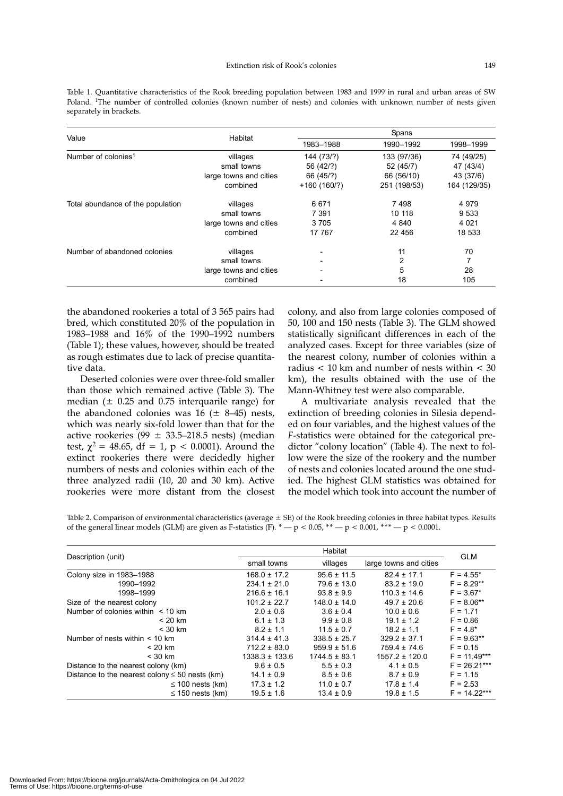Table 1. Quantitative characteristics of the Rook breeding population between 1983 and 1999 in rural and urban areas of SW Poland. 1The number of controlled colonies (known number of nests) and colonies with unknown number of nests given separately in brackets.

| Value                             | Habitat                | Spans                    |              |              |
|-----------------------------------|------------------------|--------------------------|--------------|--------------|
|                                   |                        | 1983-1988                | 1990-1992    | 1998-1999    |
| Number of colonies <sup>1</sup>   | villages               | 144 (73/?)               | 133 (97/36)  | 74 (49/25)   |
|                                   | small towns            | 56 (42/?)                | 52 (45/7)    | 47 (43/4)    |
|                                   | large towns and cities | 66 (45/?)                | 66 (56/10)   | 43 (37/6)    |
|                                   | combined               | $+160(160/?)$            | 251 (198/53) | 164 (129/35) |
| Total abundance of the population | villages               | 6 6 7 1                  | 7498         | 4979         |
|                                   | small towns            | 7 3 9 1                  | 10 118       | 9533         |
|                                   | large towns and cities | 3705                     | 4 8 4 0      | 4 0 21       |
|                                   | combined               | 17 767                   | 22 456       | 18 533       |
| Number of abandoned colonies      | villages               |                          | 11           | 70           |
|                                   | small towns            |                          | 2            | 7            |
|                                   | large towns and cities | $\overline{\phantom{0}}$ | 5            | 28           |
|                                   | combined               |                          | 18           | 105          |

the abandoned rookeries a total of 3 565 pairs had bred, which constituted 20% of the population in 1983–1988 and 16% of the 1990–1992 numbers (Table 1); these values, however, should be treated as rough estimates due to lack of precise quantitative data.

Deserted colonies were over three-fold smaller than those which remained active (Table 3). The median  $(\pm 0.25$  and 0.75 interquarile range) for the abandoned colonies was  $16$  ( $\pm$  8–45) nests, which was nearly six-fold lower than that for the active rookeries (99  $\pm$  33.5–218.5 nests) (median test,  $\chi^2 = 48.65$ , df = 1, p < 0.0001). Around the extinct rookeries there were decidedly higher numbers of nests and colonies within each of the three analyzed radii (10, 20 and 30 km). Active rookeries were more distant from the closest colony, and also from large colonies composed of 50, 100 and 150 nests (Table 3). The GLM showed statistically significant differences in each of the analyzed cases. Except for three variables (size of the nearest colony, number of colonies within a radius < 10 km and number of nests within < 30 km), the results obtained with the use of the Mann-Whitney test were also comparable.

A multivariate analysis revealed that the extinction of breeding colonies in Silesia depended on four variables, and the highest values of the *F*-statistics were obtained for the categorical predictor "colony location" (Table 4). The next to follow were the size of the rookery and the number of nests and colonies located around the one studied. The highest GLM statistics was obtained for the model which took into account the number of

Table 2. Comparison of environmental characteristics (average  $\pm$  SE) of the Rook breeding colonies in three habitat types. Results of the general linear models (GLM) are given as F-statistics (F).  $* - p < 0.05$ ,  $* - p < 0.001$ ,  $* * - p < 0.0001$ .

|                                                     | Habitat                 |                   |                        |                |  |
|-----------------------------------------------------|-------------------------|-------------------|------------------------|----------------|--|
| Description (unit)                                  | small towns<br>villages |                   | large towns and cities | <b>GLM</b>     |  |
| Colony size in 1983-1988                            | $168.0 \pm 17.2$        | $95.6 \pm 11.5$   | $82.4 \pm 17.1$        | $F = 4.55*$    |  |
| 1990-1992                                           | $234.1 \pm 21.0$        | $79.6 \pm 13.0$   | $83.2 \pm 19.0$        | $F = 8.29**$   |  |
| 1998-1999                                           | $216.6 \pm 16.1$        | $93.8 \pm 9.9$    | $110.3 \pm 14.6$       | $F = 3.67*$    |  |
| Size of the nearest colony                          | $101.2 \pm 22.7$        | $148.0 \pm 14.0$  | $49.7 \pm 20.6$        | $F = 8.06***$  |  |
| Number of colonies within $\leq 10$ km              | $2.0 \pm 0.6$           | $3.6 \pm 0.4$     | $10.0 \pm 0.6$         | $F = 1.71$     |  |
| $< 20$ km                                           | $6.1 \pm 1.3$           | $9.9 \pm 0.8$     | $19.1 \pm 1.2$         | $F = 0.86$     |  |
| $<$ 30 km                                           | $8.2 \pm 1.1$           | $11.5 \pm 0.7$    | $18.2 \pm 1.1$         | $F = 4.8*$     |  |
| Number of nests within $<$ 10 km                    | $314.4 \pm 41.3$        | $338.5 \pm 25.7$  | $329.2 \pm 37.1$       | $F = 9.63***$  |  |
| $< 20$ km                                           | $712.2 \pm 83.0$        | $959.9 \pm 51.6$  | $759.4 \pm 74.6$       | $F = 0.15$     |  |
| $<$ 30 km                                           | $1338.3 \pm 133.6$      | $1744.5 \pm 83.1$ | $1557.2 \pm 120.0$     | $F = 11.49***$ |  |
| Distance to the nearest colony (km)                 | $9.6 \pm 0.5$           | $5.5 \pm 0.3$     | $4.1 \pm 0.5$          | $F = 26.21***$ |  |
| Distance to the nearest colony $\leq 50$ nests (km) | $14.1 \pm 0.9$          | $8.5 \pm 0.6$     | $8.7 \pm 0.9$          | $F = 1.15$     |  |
| $\leq$ 100 nests (km)                               | $17.3 \pm 1.2$          | $11.0 \pm 0.7$    | $17.8 \pm 1.4$         | $F = 2.53$     |  |
| $\leq$ 150 nests (km)                               | $19.5 \pm 1.6$          | $13.4 \pm 0.9$    | $19.8 \pm 1.5$         | $F = 14.22***$ |  |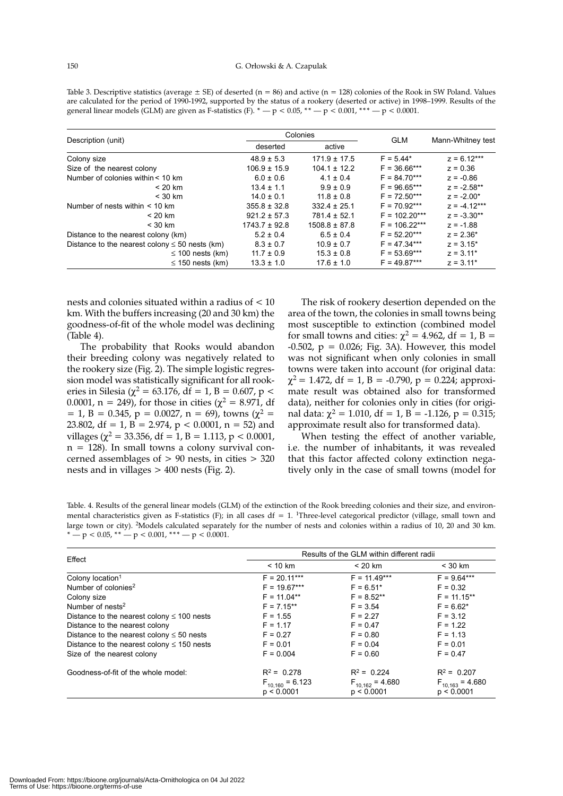| Table 3. Descriptive statistics (average $\pm$ SE) of deserted (n = 86) and active (n = 128) colonies of the Rook in SW Poland. Values |
|----------------------------------------------------------------------------------------------------------------------------------------|
| are calculated for the period of 1990-1992, supported by the status of a rookery (deserted or active) in 1998–1999. Results of the     |
| general linear models (GLM) are given as F-statistics (F). $* - p < 0.05$ , $* - p < 0.001$ , $* * - p < 0.0001$ .                     |

|                                                     | Colonies          |                   |                 |                   |
|-----------------------------------------------------|-------------------|-------------------|-----------------|-------------------|
| Description (unit)                                  | deserted          | active            | <b>GLM</b>      | Mann-Whitney test |
| Colony size                                         | $48.9 \pm 5.3$    | $171.9 \pm 17.5$  | $F = 5.44*$     | $z = 6.12***$     |
| Size of the nearest colony                          | $106.9 \pm 15.9$  | $104.1 \pm 12.2$  | $F = 36.66***$  | $z = 0.36$        |
| Number of colonies within < 10 km                   | $6.0 \pm 0.6$     | $4.1 \pm 0.4$     | $F = 84.70***$  | $z = -0.86$       |
| $< 20$ km                                           | $13.4 \pm 1.1$    | $9.9 \pm 0.9$     | $F = 96.65***$  | $z = -2.58**$     |
| $<$ 30 km                                           | $14.0 \pm 0.1$    | $11.8 \pm 0.8$    | $F = 72.50***$  | $z = -2.00*$      |
| Number of nests within $<$ 10 km                    | $355.8 \pm 32.8$  | $332.4 \pm 25.1$  | $F = 70.92***$  | $z = -4.12***$    |
| $< 20$ km                                           | $921.2 \pm 57.3$  | $781.4 \pm 52.1$  | $F = 102.20***$ | $z = -3.30**$     |
| $<$ 30 km                                           | $1743.7 \pm 92.8$ | $1508.8 \pm 87.8$ | $F = 106.22***$ | $z = -1.88$       |
| Distance to the nearest colony (km)                 | $5.2 \pm 0.4$     | $6.5 \pm 0.4$     | $F = 52.20***$  | $z = 2.36*$       |
| Distance to the nearest colony $\leq 50$ nests (km) | $8.3 \pm 0.7$     | $10.9 \pm 0.7$    | $F = 47.34***$  | $z = 3.15*$       |
| $\leq$ 100 nests (km)                               | $11.7 \pm 0.9$    | $15.3 \pm 0.8$    | $F = 53.69***$  | $z = 3.11*$       |
| $\leq$ 150 nests (km)                               | $13.3 \pm 1.0$    | $17.6 \pm 1.0$    | $F = 49.87***$  | $z = 3.11*$       |

nests and colonies situated within a radius of < 10 km. With the buffers increasing (20 and 30 km) the goodness-of-fit of the whole model was declining (Table 4).

The probability that Rooks would abandon their breeding colony was negatively related to the rookery size (Fig. 2). The simple logistic regression model was statistically significant for all rookeries in Silesia (χ<sup>2</sup> = 63.176, df = 1, B = 0.607, p < 0.0001,  $n = 249$ , for those in cities ( $\chi^2 = 8.971$ , df  $= 1$ , B = 0.345, p = 0.0027, n = 69), towns ( $\chi^2$  = 23.802, df = 1,  $B = 2.974$ ,  $p < 0.0001$ ,  $n = 52$ ) and villages ( $\chi^2$  = 33.356, df = 1, B = 1.113, p < 0.0001,  $n = 128$ ). In small towns a colony survival concerned assemblages of  $> 90$  nests, in cities  $> 320$ nests and in villages > 400 nests (Fig. 2).

The risk of rookery desertion depended on the area of the town, the colonies in small towns being most susceptible to extinction (combined model for small towns and cities:  $\chi^2 = 4.962$ , df = 1, B =  $-0.502$ ,  $p = 0.026$ ; Fig. 3A). However, this model was not significant when only colonies in small towns were taken into account (for original data:  $\chi^2$  = 1.472, df = 1, B = -0.790, p = 0.224; approximate result was obtained also for transformed data), neither for colonies only in cities (for original data:  $\chi^2$  = 1.010, df = 1, B = -1.126, p = 0.315; approximate result also for transformed data).

When testing the effect of another variable, i.e. the number of inhabitants, it was revealed that this factor affected colony extinction negatively only in the case of small towns (model for

Table. 4. Results of the general linear models (GLM) of the extinction of the Rook breeding colonies and their size, and environmental characteristics given as F-statistics (F); in all cases  $df = 1$ . <sup>1</sup>Three-level categorical predictor (village, small town and large town or city). 2Models calculated separately for the number of nests and colonies within a radius of 10, 20 and 30 km. \*  $-p < 0.05$ , \*\*  $-p < 0.001$ , \*\*\*  $-p < 0.0001$ .

|                                                 | Results of the GLM within different radii |                                    |                                    |  |
|-------------------------------------------------|-------------------------------------------|------------------------------------|------------------------------------|--|
| Effect                                          | < 10 km                                   | $< 20$ km                          | $<$ 30 km                          |  |
| Colony location <sup>1</sup>                    | $F = 20.11***$                            | $F = 11.49***$                     | $F = 9.64***$                      |  |
| Number of colonies <sup>2</sup>                 | $F = 19.67***$                            | $F = 6.51*$                        | $F = 0.32$                         |  |
| Colony size                                     | $F = 11.04**$                             | $F = 8.52***$                      | $F = 11.15***$                     |  |
| Number of nests <sup>2</sup>                    | $F = 7.15***$                             | $F = 3.54$                         | $F = 6.62*$                        |  |
| Distance to the nearest colony $\leq 100$ nests | $F = 1.55$                                | $F = 2.27$                         | $F = 3.12$                         |  |
| Distance to the nearest colony                  | $F = 1.17$                                | $F = 0.47$                         | $F = 1.22$                         |  |
| Distance to the nearest colony $\leq 50$ nests  | $F = 0.27$                                | $F = 0.80$                         | $F = 1.13$                         |  |
| Distance to the nearest colony $\leq$ 150 nests | $F = 0.01$                                | $F = 0.04$                         | $F = 0.01$                         |  |
| Size of the nearest colony                      | $F = 0.004$                               | $F = 0.60$                         | $F = 0.47$                         |  |
| Goodness-of-fit of the whole model:             | $R^2 = 0.278$                             | $R^2 = 0.224$                      | $R^2 = 0.207$                      |  |
|                                                 | $F_{10,160} = 6.123$<br>p < 0.0001        | $F_{10,162} = 4.680$<br>p < 0.0001 | $F_{10,163} = 4.680$<br>p < 0.0001 |  |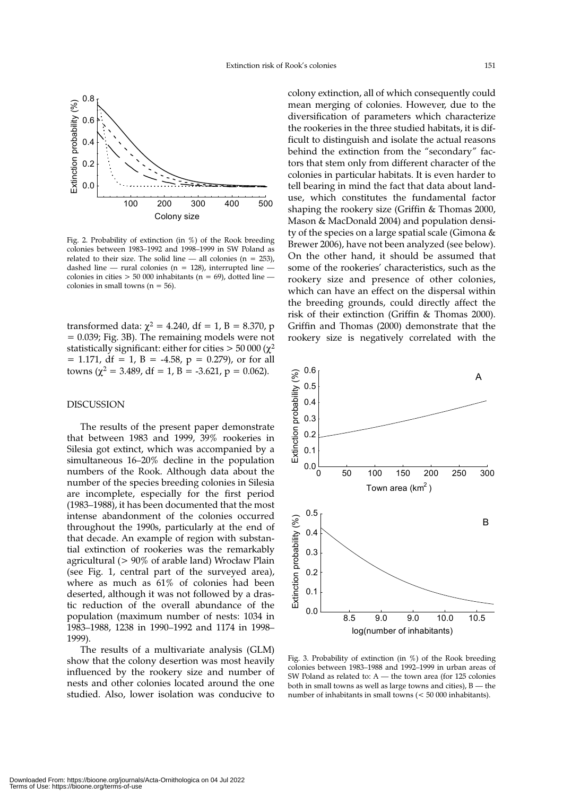

Fig. 2. Probability of extinction (in %) of the Rook breeding colonies between 1983–1992 and 1998–1999 in SW Poland as related to their size. The solid line — all colonies ( $n = 253$ ), dashed line — rural colonies ( $n = 128$ ), interrupted line colonies in cities  $> 50000$  inhabitants (n = 69), dotted line colonies in small towns ( $n = 56$ ).

transformed data:  $χ² = 4.240$ , df = 1, B = 8.370, p = 0.039; Fig. 3B). The remaining models were not statistically significant: either for cities  $> 50000$  ( $\chi^2$  $= 1.171$ , df  $= 1$ , B  $= -4.58$ , p  $= 0.279$ ), or for all towns ( $\chi^2$  = 3.489, df = 1, B = -3.621, p = 0.062).

# DISCUSSION

The results of the present paper demonstrate that between 1983 and 1999, 39% rookeries in Silesia got extinct, which was accompanied by a simultaneous 16–20% decline in the population numbers of the Rook. Although data about the number of the species breeding colonies in Silesia are incomplete, especially for the first period (1983–1988), it has been documented that the most intense abandonment of the colonies occurred throughout the 1990s, particularly at the end of that decade. An example of region with substantial extinction of rookeries was the remarkably agricultural (> 90% of arable land) Wrocław Plain (see Fig. 1, central part of the surveyed area), where as much as 61% of colonies had been deserted, although it was not followed by a drastic reduction of the overall abundance of the population (maximum number of nests: 1034 in 1983–1988, 1238 in 1990–1992 and 1174 in 1998– 1999).

The results of a multivariate analysis (GLM) show that the colony desertion was most heavily influenced by the rookery size and number of nests and other colonies located around the one studied. Also, lower isolation was conducive to colony extinction, all of which consequently could mean merging of colonies. However, due to the diversification of parameters which characterize the rookeries in the three studied habitats, it is difficult to distinguish and isolate the actual reasons behind the extinction from the "secondary" factors that stem only from different character of the colonies in particular habitats. It is even harder to tell bearing in mind the fact that data about landuse, which constitutes the fundamental factor shaping the rookery size (Griffin & Thomas 2000, Mason & MacDonald 2004) and population density of the species on a large spatial scale (Gimona & Brewer 2006), have not been analyzed (see below). On the other hand, it should be assumed that some of the rookeries' characteristics, such as the rookery size and presence of other colonies, which can have an effect on the dispersal within the breeding grounds, could directly affect the risk of their extinction (Griffin & Thomas 2000). Griffin and Thomas (2000) demonstrate that the rookery size is negatively correlated with the



Fig. 3. Probability of extinction (in %) of the Rook breeding colonies between 1983–1988 and 1992–1999 in urban areas of SW Poland as related to: A — the town area (for 125 colonies both in small towns as well as large towns and cities), B — the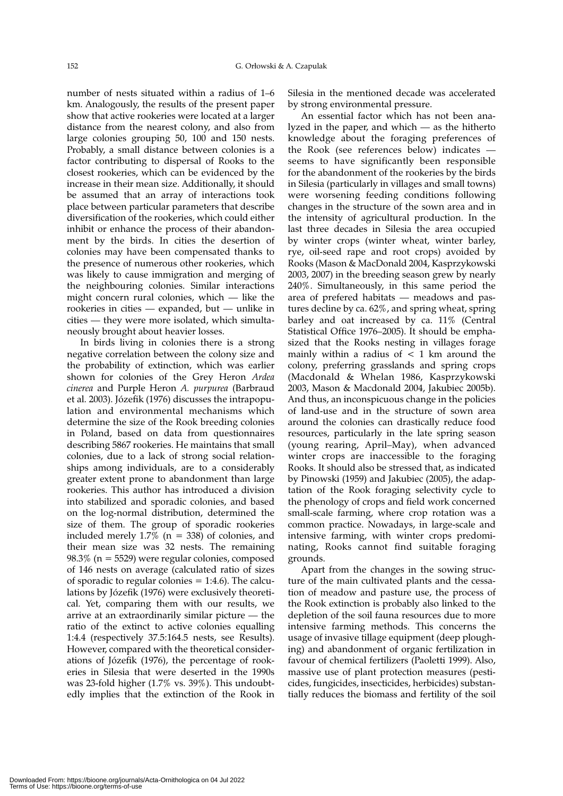number of nests situated within a radius of 1–6 km. Analogously, the results of the present paper show that active rookeries were located at a larger distance from the nearest colony, and also from large colonies grouping 50, 100 and 150 nests. Probably, a small distance between colonies is a factor contributing to dispersal of Rooks to the closest rookeries, which can be evidenced by the increase in their mean size. Additionally, it should be assumed that an array of interactions took place between particular parameters that describe diversification of the rookeries, which could either inhibit or enhance the process of their abandonment by the birds. In cities the desertion of colonies may have been compensated thanks to the presence of numerous other rookeries, which was likely to cause immigration and merging of the neighbouring colonies. Similar interactions might concern rural colonies, which — like the rookeries in cities — expanded, but — unlike in cities — they were more isolated, which simultaneously brought about heavier losses.

In birds living in colonies there is a strong negative correlation between the colony size and the probability of extinction, which was earlier shown for colonies of the Grey Heron *Ardea cinerea* and Purple Heron *A. purpurea* (Barbraud et al. 2003). Józefik (1976) discusses the intrapopulation and environmental mechanisms which determine the size of the Rook breeding colonies in Poland, based on data from questionnaires describing 5867 rookeries. He maintains that small colonies, due to a lack of strong social relationships among individuals, are to a considerably greater extent prone to abandonment than large rookeries. This author has introduced a division into stabilized and sporadic colonies, and based on the log-normal distribution, determined the size of them. The group of sporadic rookeries included merely  $1.7\%$  (n = 338) of colonies, and their mean size was 32 nests. The remaining 98.3% (n = 5529) were regular colonies, composed of 146 nests on average (calculated ratio of sizes of sporadic to regular colonies  $= 1:4.6$ ). The calculations by Józefik (1976) were exclusively theoretical. Yet, comparing them with our results, we arrive at an extraordinarily similar picture — the ratio of the extinct to active colonies equalling 1:4.4 (respectively 37.5:164.5 nests, see Results). However, compared with the theoretical considerations of Józefik (1976), the percentage of rookeries in Silesia that were deserted in the 1990s was 23-fold higher (1.7% vs. 39%). This undoubtedly implies that the extinction of the Rook in Silesia in the mentioned decade was accelerated by strong environmental pressure.

An essential factor which has not been analyzed in the paper, and which — as the hitherto knowledge about the foraging preferences of the Rook (see references below) indicates seems to have significantly been responsible for the abandonment of the rookeries by the birds in Silesia (particularly in villages and small towns) were worsening feeding conditions following changes in the structure of the sown area and in the intensity of agricultural production. In the last three decades in Silesia the area occupied by winter crops (winter wheat, winter barley, rye, oil-seed rape and root crops) avoided by Rooks (Mason & MacDonald 2004, Kasprzykowski 2003, 2007) in the breeding season grew by nearly 240%. Simultaneously, in this same period the area of prefered habitats — meadows and pastures decline by ca. 62%, and spring wheat, spring barley and oat increased by ca. 11% (Central Statistical Office 1976–2005). It should be emphasized that the Rooks nesting in villages forage mainly within a radius of  $\lt$  1 km around the colony, preferring grasslands and spring crops (Macdonald & Whelan 1986, Kasprzykowski 2003, Mason & Macdonald 2004, Jakubiec 2005b). And thus, an inconspicuous change in the policies of land-use and in the structure of sown area around the colonies can drastically reduce food resources, particularly in the late spring season (young rearing, April–May), when advanced winter crops are inaccessible to the foraging Rooks. It should also be stressed that, as indicated by Pinowski (1959) and Jakubiec (2005), the adaptation of the Rook foraging selectivity cycle to the phenology of crops and field work concerned small-scale farming, where crop rotation was a common practice. Nowadays, in large-scale and intensive farming, with winter crops predominating, Rooks cannot find suitable foraging grounds.

Apart from the changes in the sowing structure of the main cultivated plants and the cessation of meadow and pasture use, the process of the Rook extinction is probably also linked to the depletion of the soil fauna resources due to more intensive farming methods. This concerns the usage of invasive tillage equipment (deep ploughing) and abandonment of organic fertilization in favour of chemical fertilizers (Paoletti 1999). Also, massive use of plant protection measures (pesticides, fungicides, insecticides, herbicides) substantially reduces the biomass and fertility of the soil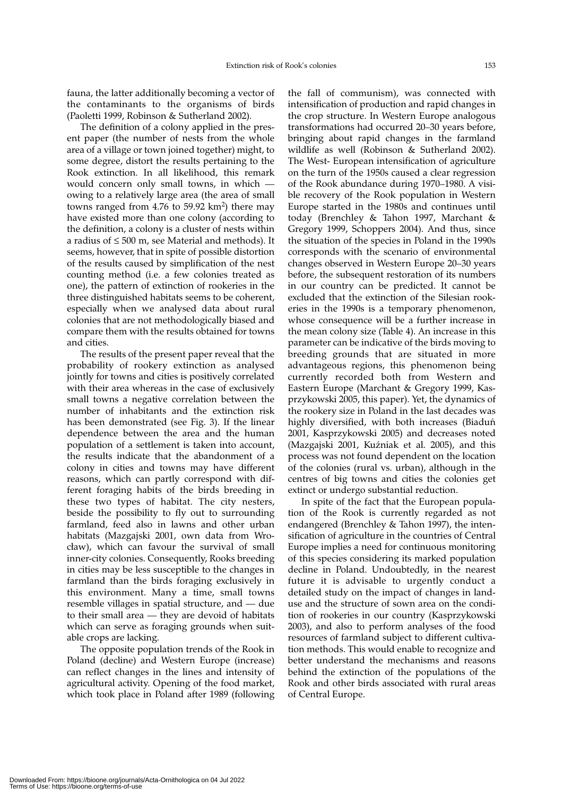fauna, the latter additionally becoming a vector of the contaminants to the organisms of birds (Paoletti 1999, Robinson & Sutherland 2002).

The definition of a colony applied in the present paper (the number of nests from the whole area of a village or town joined together) might, to some degree, distort the results pertaining to the Rook extinction. In all likelihood, this remark would concern only small towns, in which owing to a relatively large area (the area of small towns ranged from 4.76 to 59.92  $km^2$ ) there may have existed more than one colony (according to the definition, a colony is a cluster of nests within a radius of  $\leq 500$  m, see Material and methods). It seems, however, that in spite of possible distortion of the results caused by simplification of the nest counting method (i.e. a few colonies treated as one), the pattern of extinction of rookeries in the three distinguished habitats seems to be coherent, especially when we analysed data about rural colonies that are not methodologically biased and compare them with the results obtained for towns and cities.

The results of the present paper reveal that the probability of rookery extinction as analysed jointly for towns and cities is positively correlated with their area whereas in the case of exclusively small towns a negative correlation between the number of inhabitants and the extinction risk has been demonstrated (see Fig. 3). If the linear dependence between the area and the human population of a settlement is taken into account, the results indicate that the abandonment of a colony in cities and towns may have different reasons, which can partly correspond with different foraging habits of the birds breeding in these two types of habitat. The city nesters, beside the possibility to fly out to surrounding farmland, feed also in lawns and other urban habitats (Mazgajski 2001, own data from Wrocław), which can favour the survival of small inner-city colonies. Consequently, Rooks breeding in cities may be less susceptible to the changes in farmland than the birds foraging exclusively in this environment. Many a time, small towns resemble villages in spatial structure, and — due to their small area — they are devoid of habitats which can serve as foraging grounds when suitable crops are lacking.

The opposite population trends of the Rook in Poland (decline) and Western Europe (increase) can reflect changes in the lines and intensity of agricultural activity. Opening of the food market, which took place in Poland after 1989 (following the fall of communism), was connected with intensification of production and rapid changes in the crop structure. In Western Europe analogous transformations had occurred 20–30 years before, bringing about rapid changes in the farmland wildlife as well (Robinson & Sutherland 2002). The West- European intensification of agriculture on the turn of the 1950s caused a clear regression of the Rook abundance during 1970–1980. A visible recovery of the Rook population in Western Europe started in the 1980s and continues until today (Brenchley & Tahon 1997, Marchant & Gregory 1999, Schoppers 2004). And thus, since the situation of the species in Poland in the 1990s corresponds with the scenario of environmental changes observed in Western Europe 20–30 years before, the subsequent restoration of its numbers in our country can be predicted. It cannot be excluded that the extinction of the Silesian rookeries in the 1990s is a temporary phenomenon, whose consequence will be a further increase in the mean colony size (Table 4). An increase in this parameter can be indicative of the birds moving to breeding grounds that are situated in more advantageous regions, this phenomenon being currently recorded both from Western and Eastern Europe (Marchant & Gregory 1999, Kasprzykowski 2005, this paper). Yet, the dynamics of the rookery size in Poland in the last decades was highly diversified, with both increases (Biaduń 2001, Kasprzykowski 2005) and decreases noted (Mazgajski 2001, Kuźniak et al. 2005), and this process was not found dependent on the location of the colonies (rural vs. urban), although in the centres of big towns and cities the colonies get extinct or undergo substantial reduction.

In spite of the fact that the European population of the Rook is currently regarded as not endangered (Brenchley & Tahon 1997), the intensification of agriculture in the countries of Central Europe implies a need for continuous monitoring of this species considering its marked population decline in Poland. Undoubtedly, in the nearest future it is advisable to urgently conduct a detailed study on the impact of changes in landuse and the structure of sown area on the condition of rookeries in our country (Kasprzykowski 2003), and also to perform analyses of the food resources of farmland subject to different cultivation methods. This would enable to recognize and better understand the mechanisms and reasons behind the extinction of the populations of the Rook and other birds associated with rural areas of Central Europe.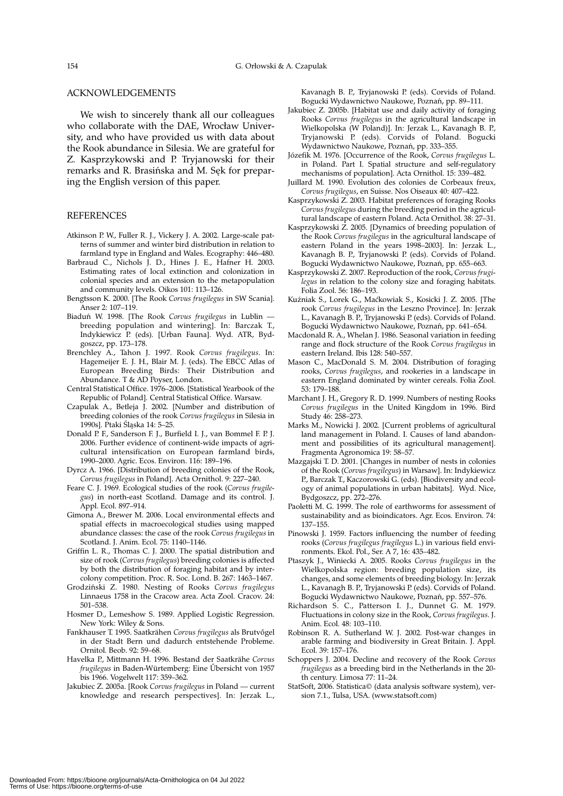# ACKNOWLEDGEMENTS

We wish to sincerely thank all our colleagues who collaborate with the DAE, Wrocław University, and who have provided us with data about the Rook abundance in Silesia. We are grateful for Z. Kasprzykowski and P. Tryjanowski for their remarks and R. Brasińska and M. Sęk for preparing the English version of this paper.

# REFERENCES

- Atkinson P. W., Fuller R. J., Vickery J. A. 2002. Large-scale patterns of summer and winter bird distribution in relation to farmland type in England and Wales. Ecography: 446–480.
- Barbraud C., Nichols J. D., Hines J. E., Hafner H. 2003. Estimating rates of local extinction and colonization in colonial species and an extension to the metapopulation and community levels. Oikos 101: 113–126.
- Bengtsson K. 2000. [The Rook *Corvus frugilegus* in SW Scania]. Anser 2: 107–119.
- Biaduń W. 1998. [The Rook *Corvus frugilegus* in Lublin breeding population and wintering]. In: Barczak T., Indykiewicz P. (eds). [Urban Fauna]. Wyd. ATR, Bydgoszcz, pp. 173–178.
- Brenchley A., Tahon J. 1997. Rook *Corvus frugilegus*. In: Hagemeijer E. J. H., Blair M. J. (eds). The EBCC Atlas of European Breeding Birds: Their Distribution and Abundance. T & AD Poyser, London.
- Central Statistical Office. 1976–2006. [Statistical Yearbook of the Republic of Poland]. Central Statistical Office. Warsaw.
- Czapulak A., Betleja J. 2002. [Number and distribution of breeding colonies of the rook *Corvus frugilegus* in Silesia in 1990s]. Ptaki Śląska 14: 5–25.
- Donald P. F., Sanderson F. J., Burfield I. J., van Bommel F. P. J. 2006. Further evidence of continent-wide impacts of agricultural intensification on European farmland birds, 1990–2000. Agric. Ecos. Environ. 116: 189–196.
- Dyrcz A. 1966. [Distribution of breeding colonies of the Rook, *Corvus frugilegus* in Poland]. Acta Ornithol. 9: 227–240.
- Feare C. J. 1969. Ecological studies of the rook (*Corvus frugilegus*) in north-east Scotland. Damage and its control. J. Appl. Ecol. 897–914.
- Gimona A., Brewer M. 2006. Local environmental effects and spatial effects in macroecological studies using mapped abundance classes: the case of the rook *Corvus frugilegus* in Scotland. J. Anim. Ecol. 75: 1140–1146.
- Griffin L. R., Thomas C. J. 2000. The spatial distribution and size of rook (*Corvus frugilegus*) breeding colonies is affected by both the distribution of foraging habitat and by intercolony competition. Proc. R. Soc. Lond. B. 267: 1463–1467.
- Grodziński Z. 1980. Nesting of Rooks *Corvus frugilegus* Linnaeus 1758 in the Cracow area. Acta Zool. Cracov. 24: 501–538.
- Hosmer D., Lemeshow S. 1989. Applied Logistic Regression. New York: Wiley & Sons.
- Fankhauser T. 1995. Saatkrähen *Corvus frugilegus* als Brutvőgel in der Stadt Bern und dadurch entstehende Probleme. Ornitol. Beob. 92: 59–68.
- Havelka P., Mittmann H. 1996. Bestand der Saatkrähe *Corvus frugilegus* in Baden-Würtemberg: Eine Űbersicht von 1957 bis 1966. Vogelwelt 117: 359–362.
- Jakubiec Z. 2005a. [Rook *Corvus frugilegus* in Poland current knowledge and research perspectives]. In: Jerzak L.,

Kavanagh B. P., Tryjanowski P. (eds). Corvids of Poland. Bogucki Wydawnictwo Naukowe, Poznań, pp. 89–111.

- Jakubiec Z. 2005b. [Habitat use and daily activity of foraging Rooks *Corvus frugilegus* in the agricultural landscape in Wielkopolska (W Poland)]. In: Jerzak L., Kavanagh B. P., Tryjanowski P. (eds). Corvids of Poland. Bogucki Wydawnictwo Naukowe, Poznań, pp. 333–355.
- Józefik M. 1976. [Occurrence of the Rook, *Corvus frugilegus* L. in Poland. Part I. Spatial structure and self-regulatory mechanisms of population]. Acta Ornithol. 15: 339–482.
- Juillard M. 1990. Evolution des colonies de Corbeaux freux, *Corvus frugilegus*, en Suisse. Nos Oiseaux 40: 407–422.
- Kasprzykowski Z. 2003. Habitat preferences of foraging Rooks *Corvus frugilegus* during the breeding period in the agricultural landscape of eastern Poland. Acta Ornithol. 38: 27–31.
- Kasprzykowski Z. 2005. [Dynamics of breeding population of the Rook *Corvus frugilegus* in the agricultural landscape of eastern Poland in the years 1998–2003]. In: Jerzak L., Kavanagh B. P., Tryjanowski P. (eds). Corvids of Poland. Bogucki Wydawnictwo Naukowe, Poznań, pp. 655–663.
- Kasprzykowski Z. 2007. Reproduction of the rook, *Corvus frugilegus* in relation to the colony size and foraging habitats. Folia Zool. 56: 186–193.
- Kuźniak S., Lorek G., Maćkowiak S., Kosicki J. Z. 2005. [The rook *Corvus frugilegus* in the Leszno Province]. In: Jerzak L., Kavanagh B. P., Tryjanowski P. (eds). Corvids of Poland. Bogucki Wydawnictwo Naukowe, Poznań, pp. 641–654.
- Macdonald R. A., Whelan J. 1986. Seasonal variation in feeding range and flock structure of the Rook *Corvus frugilegus* in eastern Ireland. Ibis 128: 540–557.
- Mason C., MacDonald S. M. 2004. Distribution of foraging rooks, *Corvus frugilegus*, and rookeries in a landscape in eastern England dominated by winter cereals. Folia Zool. 53: 179–188.
- Marchant J. H., Gregory R. D. 1999. Numbers of nesting Rooks *Corvus frugilegus* in the United Kingdom in 1996. Bird Study 46: 258–273.
- Marks M., Nowicki J. 2002. [Current problems of agricultural land management in Poland. I. Causes of land abandonment and possibilities of its agricultural management]. Fragmenta Agronomica 19: 58–57.
- Mazgajski T. D. 2001. [Changes in number of nests in colonies of the Rook (*Corvus frugilegus*) in Warsaw]. In: Indykiewicz P., Barczak T., Kaczorowski G. (eds). [Biodiversity and ecology of animal populations in urban habitats]. Wyd. Nice, Bydgoszcz, pp. 272–276.
- Paoletti M. G. 1999. The role of earthworms for assessment of sustainability and as bioindicators. Agr. Ecos. Environ. 74: 137–155.
- Pinowski J. 1959. Factors influencing the number of feeding rooks (*Corvus frugilegus frugilegus* L.) in various field environments. Ekol. Pol., Ser. A 7, 16: 435–482.
- Ptaszyk J., Winiecki A. 2005. Rooks *Corvus frugilegus* in the Wielkopolska region: breeding population size, its changes, and some elements of breeding biology. In: Jerzak L., Kavanagh B. P., Tryjanowski P. (eds). Corvids of Poland. Bogucki Wydawnictwo Naukowe, Poznań, pp. 557–576.
- Richardson S. C., Patterson I. J., Dunnet G. M. 1979. Fluctuations in colony size in the Rook, *Corvus frugilegus*. J. Anim. Ecol. 48: 103–110.
- Robinson R. A. Sutherland W. J. 2002. Post-war changes in arable farming and biodiversity in Great Britain. J. Appl. Ecol. 39: 157–176.
- Schoppers J. 2004. Decline and recovery of the Rook *Corvus frugilegus* as a breeding bird in the Netherlands in the 20 th century. Limosa 77: 11–24.
- StatSoft, 2006. Statistica© (data analysis software system), version 7.1., Tulsa, USA. (www.statsoft.com)